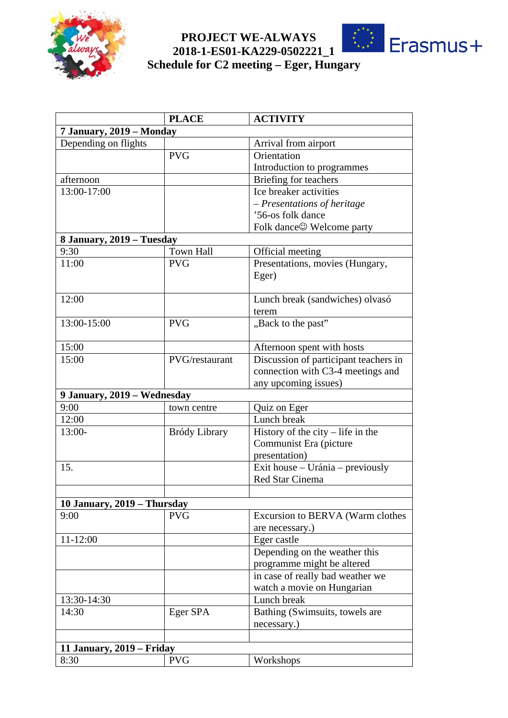

## **PROJECT WE-ALWAYS 2018-1-ES01-KA229-0502221\_1**



## **Schedule for C2 meeting – Eger, Hungary**

|                             | <b>PLACE</b>     | <b>ACTIVITY</b>                       |  |
|-----------------------------|------------------|---------------------------------------|--|
| 7 January, 2019 - Monday    |                  |                                       |  |
| Depending on flights        |                  | Arrival from airport                  |  |
|                             | <b>PVG</b>       | Orientation                           |  |
|                             |                  | Introduction to programmes            |  |
| afternoon                   |                  | Briefing for teachers                 |  |
| 13:00-17:00                 |                  | Ice breaker activities                |  |
|                             |                  | - Presentations of heritage           |  |
|                             |                  | '56-os folk dance                     |  |
|                             |                  |                                       |  |
| 8 January, 2019 – Tuesday   |                  |                                       |  |
| 9:30                        | <b>Town Hall</b> | Official meeting                      |  |
| 11:00                       | <b>PVG</b>       | Presentations, movies (Hungary,       |  |
|                             |                  | Eger)                                 |  |
| 12:00                       |                  | Lunch break (sandwiches) olvasó       |  |
|                             |                  | terem                                 |  |
| 13:00-15:00                 | <b>PVG</b>       | "Back to the past"                    |  |
| 15:00                       |                  | Afternoon spent with hosts            |  |
| 15:00                       | PVG/restaurant   | Discussion of participant teachers in |  |
|                             |                  | connection with C3-4 meetings and     |  |
|                             |                  | any upcoming issues)                  |  |
| 9 January, 2019 – Wednesday |                  |                                       |  |
| 9:00                        | town centre      | Quiz on Eger                          |  |
| 12:00                       |                  | Lunch break                           |  |
| 13:00-                      | Bródy Library    | History of the city $-$ life in the   |  |
|                             |                  | Communist Era (picture                |  |
|                             |                  | presentation)                         |  |
| 15.                         |                  | Exit house - Uránia - previously      |  |
|                             |                  | Red Star Cinema                       |  |
|                             |                  |                                       |  |
| 10 January, 2019 - Thursday |                  |                                       |  |
| 9:00                        | <b>PVG</b>       | Excursion to BERVA (Warm clothes      |  |
|                             |                  | are necessary.)                       |  |
| $11 - 12:00$                |                  | Eger castle                           |  |
|                             |                  | Depending on the weather this         |  |
|                             |                  | programme might be altered            |  |
|                             |                  | in case of really bad weather we      |  |
|                             |                  | watch a movie on Hungarian            |  |
| 13:30-14:30                 |                  | Lunch break                           |  |
| 14:30                       | Eger SPA         | Bathing (Swimsuits, towels are        |  |
|                             |                  | necessary.)                           |  |
|                             |                  |                                       |  |
| 11 January, 2019 – Friday   |                  |                                       |  |
| 8:30                        | <b>PVG</b>       | Workshops                             |  |